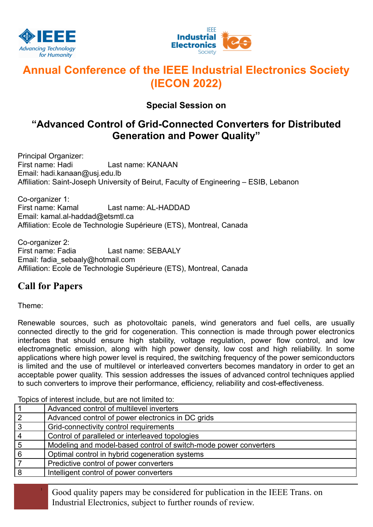



# **Annual Conference of the IEEE Industrial Electronics Society (IECON 2022)**

### **Special Session on**

## **"Advanced Control of Grid-Connected Converters for Distributed Generation and Power Quality"**

Principal Organizer:<br>First name: Hadi Last name: KANAAN Email: hadi.kanaan@usj.edu.lb Affiliation: Saint-Joseph University of Beirut, Faculty of Engineering – ESIB, Lebanon

Co-organizer 1: First name: Kamal Last name: AL-HADDAD Email: kamal.al-haddad@etsmtl.ca Affiliation: Ecole de Technologie Supérieure (ETS), Montreal, Canada

Co-organizer 2:<br>First name: Fadia Last name: SEBAALY Email: fadia\_sebaaly@hotmail.com Affiliation: Ecole de Technologie Supérieure (ETS), Montreal, Canada

### **Call for Papers**

Theme:

Renewable sources, such as photovoltaic panels, wind generators and fuel cells, are usually connected directly to the grid for cogeneration. This connection is made through power electronics interfaces that should ensure high stability, voltage regulation, power flow control, and low electromagnetic emission, along with high power density, low cost and high reliability. In some applications where high power level is required, the switching frequency of the power semiconductors is limited and the use of multilevel or interleaved converters becomes mandatory in order to get an acceptable power quality. This session addresses the issues of advanced control techniques applied to such converters to improve their performance, efficiency, reliability and cost-effectiveness.

Topics of interest include, but are not limited to:

|                 | Advanced control of multilevel inverters                         |
|-----------------|------------------------------------------------------------------|
| $\overline{2}$  | Advanced control of power electronics in DC grids                |
| $\mathbf{3}$    | Grid-connectivity control requirements                           |
| $\overline{4}$  | Control of paralleled or interleaved topologies                  |
| $5\overline{5}$ | Modeling and model-based control of switch-mode power converters |
| 6               | Optimal control in hybrid cogeneration systems                   |
|                 | Predictive control of power converters                           |
| 8               | Intelligent control of power converters                          |
|                 |                                                                  |

<sup>1</sup> Good quality papers may be considered for publication in the IEEE Trans. on Industrial Electronics, subject to further rounds of review.